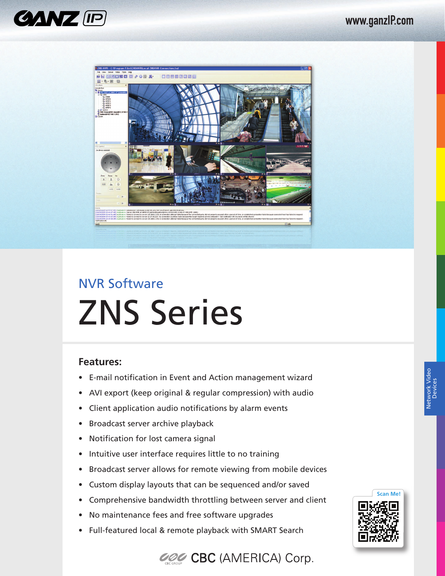



# NVR Software ZNS Series

#### **Features:**

- E-mail notification in Event and Action management wizard
- AVI export (keep original & regular compression) with audio
- Client application audio notifications by alarm events
- Broadcast server archive playback
- Notification for lost camera signal
- Intuitive user interface requires little to no training
- Broadcast server allows for remote viewing from mobile devices
- Custom display layouts that can be sequenced and/or saved
- Comprehensive bandwidth throttling between server and client
- No maintenance fees and free software upgrades
- Full-featured local & remote playback with SMART Search